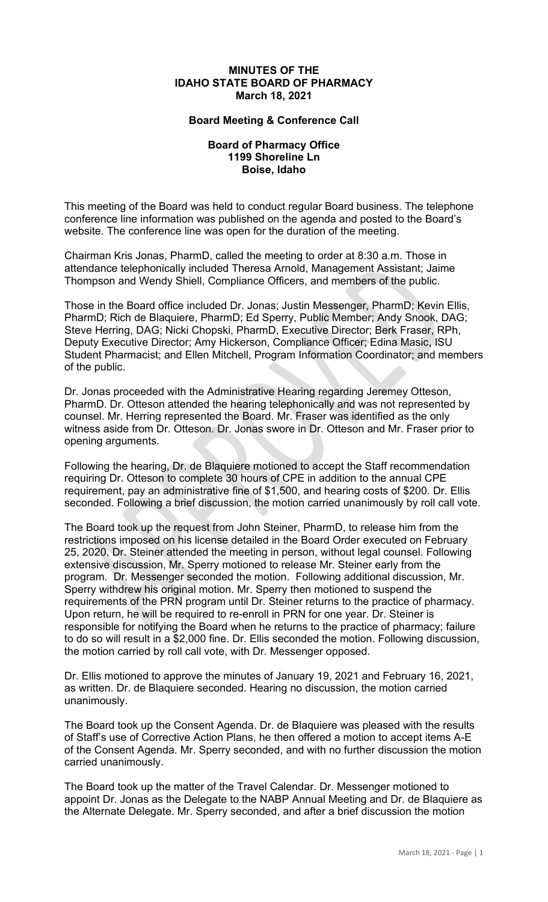## **MINUTES OF THE IDAHO STATE BOARD OF PHARMACY March 18, 2021**

## **Board Meeting & Conference Call**

## **Board of Pharmacy Office 1199 Shoreline Ln Boise, Idaho**

This meeting of the Board was held to conduct regular Board business. The telephone conference line information was published on the agenda and posted to the Board's website. The conference line was open for the duration of the meeting.

Chairman Kris Jonas, PharmD, called the meeting to order at 8:30 a.m. Those in attendance telephonically included Theresa Arnold, Management Assistant; Jaime Thompson and Wendy Shiell, Compliance Officers, and members of the public.

Those in the Board office included Dr. Jonas; Justin Messenger, PharmD; Kevin Ellis, PharmD; Rich de Blaquiere, PharmD; Ed Sperry, Public Member; Andy Snook, DAG; Steve Herring, DAG; Nicki Chopski, PharmD, Executive Director; Berk Fraser, RPh, Deputy Executive Director; Amy Hickerson, Compliance Officer; Edina Masic, ISU Student Pharmacist; and Ellen Mitchell, Program Information Coordinator; and members of the public.

Dr. Jonas proceeded with the Administrative Hearing regarding Jeremey Otteson, PharmD. Dr. Otteson attended the hearing telephonically and was not represented by counsel. Mr. Herring represented the Board. Mr. Fraser was identified as the only witness aside from Dr. Otteson. Dr. Jonas swore in Dr. Otteson and Mr. Fraser prior to opening arguments.

Following the hearing, Dr. de Blaquiere motioned to accept the Staff recommendation requiring Dr. Otteson to complete 30 hours of CPE in addition to the annual CPE requirement, pay an administrative fine of \$1,500, and hearing costs of \$200. Dr. Ellis seconded. Following a brief discussion, the motion carried unanimously by roll call vote.

The Board took up the request from John Steiner, PharmD, to release him from the restrictions imposed on his license detailed in the Board Order executed on February 25, 2020. Dr. Steiner attended the meeting in person, without legal counsel. Following extensive discussion, Mr. Sperry motioned to release Mr. Steiner early from the program. Dr. Messenger seconded the motion. Following additional discussion, Mr. Sperry withdrew his original motion. Mr. Sperry then motioned to suspend the requirements of the PRN program until Dr. Steiner returns to the practice of pharmacy. Upon return, he will be required to re-enroll in PRN for one year. Dr. Steiner is responsible for notifying the Board when he returns to the practice of pharmacy; failure to do so will result in a \$2,000 fine. Dr. Ellis seconded the motion. Following discussion, the motion carried by roll call vote, with Dr. Messenger opposed.

Dr. Ellis motioned to approve the minutes of January 19, 2021 and February 16, 2021, as written. Dr. de Blaquiere seconded. Hearing no discussion, the motion carried unanimously.

The Board took up the Consent Agenda. Dr. de Blaquiere was pleased with the results of Staff's use of Corrective Action Plans, he then offered a motion to accept items A-E of the Consent Agenda. Mr. Sperry seconded, and with no further discussion the motion carried unanimously.

The Board took up the matter of the Travel Calendar. Dr. Messenger motioned to appoint Dr. Jonas as the Delegate to the NABP Annual Meeting and Dr. de Blaquiere as the Alternate Delegate. Mr. Sperry seconded, and after a brief discussion the motion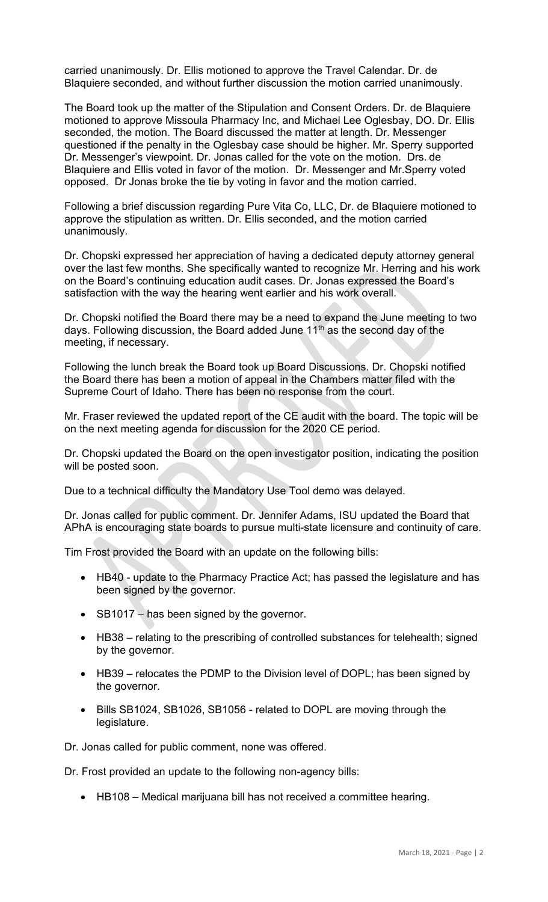carried unanimously. Dr. Ellis motioned to approve the Travel Calendar. Dr. de Blaquiere seconded, and without further discussion the motion carried unanimously.

The Board took up the matter of the Stipulation and Consent Orders. Dr. de Blaquiere motioned to approve Missoula Pharmacy Inc, and Michael Lee Oglesbay, DO. Dr. Ellis seconded, the motion. The Board discussed the matter at length. Dr. Messenger questioned if the penalty in the Oglesbay case should be higher. Mr. Sperry supported Dr. Messenger's viewpoint. Dr. Jonas called for the vote on the motion. Drs. de Blaquiere and Ellis voted in favor of the motion. Dr. Messenger and Mr.Sperry voted opposed. Dr Jonas broke the tie by voting in favor and the motion carried.

Following a brief discussion regarding Pure Vita Co, LLC, Dr. de Blaquiere motioned to approve the stipulation as written. Dr. Ellis seconded, and the motion carried unanimously.

Dr. Chopski expressed her appreciation of having a dedicated deputy attorney general over the last few months. She specifically wanted to recognize Mr. Herring and his work on the Board's continuing education audit cases. Dr. Jonas expressed the Board's satisfaction with the way the hearing went earlier and his work overall.

Dr. Chopski notified the Board there may be a need to expand the June meeting to two days. Following discussion, the Board added June 11th as the second day of the meeting, if necessary.

Following the lunch break the Board took up Board Discussions. Dr. Chopski notified the Board there has been a motion of appeal in the Chambers matter filed with the Supreme Court of Idaho. There has been no response from the court.

Mr. Fraser reviewed the updated report of the CE audit with the board. The topic will be on the next meeting agenda for discussion for the 2020 CE period.

Dr. Chopski updated the Board on the open investigator position, indicating the position will be posted soon.

Due to a technical difficulty the Mandatory Use Tool demo was delayed.

Dr. Jonas called for public comment. Dr. Jennifer Adams, ISU updated the Board that APhA is encouraging state boards to pursue multi-state licensure and continuity of care.

Tim Frost provided the Board with an update on the following bills:

- HB40 update to the Pharmacy Practice Act; has passed the legislature and has been signed by the governor.
- SB1017 has been signed by the governor.
- HB38 relating to the prescribing of controlled substances for telehealth; signed by the governor.
- HB39 relocates the PDMP to the Division level of DOPL; has been signed by the governor.
- Bills SB1024, SB1026, SB1056 related to DOPL are moving through the legislature.

Dr. Jonas called for public comment, none was offered.

Dr. Frost provided an update to the following non-agency bills:

• HB108 – Medical marijuana bill has not received a committee hearing.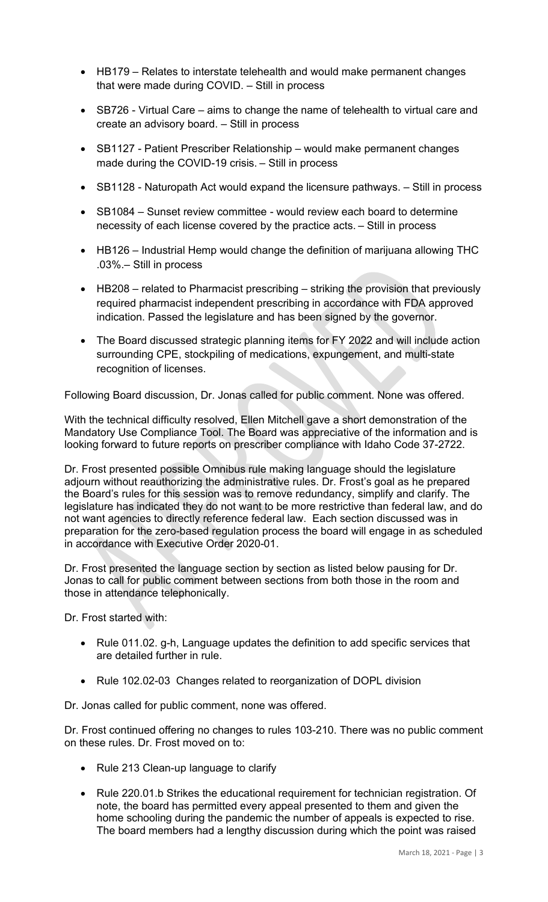- HB179 Relates to interstate telehealth and would make permanent changes that were made during COVID. – Still in process
- SB726 Virtual Care aims to change the name of telehealth to virtual care and create an advisory board. – Still in process
- SB1127 Patient Prescriber Relationship would make permanent changes made during the COVID-19 crisis. – Still in process
- SB1128 Naturopath Act would expand the licensure pathways. Still in process
- SB1084 Sunset review committee would review each board to determine necessity of each license covered by the practice acts. – Still in process
- HB126 Industrial Hemp would change the definition of marijuana allowing THC .03%.– Still in process
- HB208 related to Pharmacist prescribing striking the provision that previously required pharmacist independent prescribing in accordance with FDA approved indication. Passed the legislature and has been signed by the governor.
- The Board discussed strategic planning items for FY 2022 and will include action surrounding CPE, stockpiling of medications, expungement, and multi-state recognition of licenses.

Following Board discussion, Dr. Jonas called for public comment. None was offered.

With the technical difficulty resolved, Ellen Mitchell gave a short demonstration of the Mandatory Use Compliance Tool. The Board was appreciative of the information and is looking forward to future reports on prescriber compliance with Idaho Code 37-2722.

Dr. Frost presented possible Omnibus rule making language should the legislature adjourn without reauthorizing the administrative rules. Dr. Frost's goal as he prepared the Board's rules for this session was to remove redundancy, simplify and clarify. The legislature has indicated they do not want to be more restrictive than federal law, and do not want agencies to directly reference federal law. Each section discussed was in preparation for the zero-based regulation process the board will engage in as scheduled in accordance with Executive Order 2020-01.

Dr. Frost presented the language section by section as listed below pausing for Dr. Jonas to call for public comment between sections from both those in the room and those in attendance telephonically.

Dr. Frost started with:

- Rule 011.02. g-h, Language updates the definition to add specific services that are detailed further in rule.
- Rule 102.02-03 Changes related to reorganization of DOPL division

Dr. Jonas called for public comment, none was offered.

Dr. Frost continued offering no changes to rules 103-210. There was no public comment on these rules. Dr. Frost moved on to:

- Rule 213 Clean-up language to clarify
- Rule 220.01.b Strikes the educational requirement for technician registration. Of note, the board has permitted every appeal presented to them and given the home schooling during the pandemic the number of appeals is expected to rise. The board members had a lengthy discussion during which the point was raised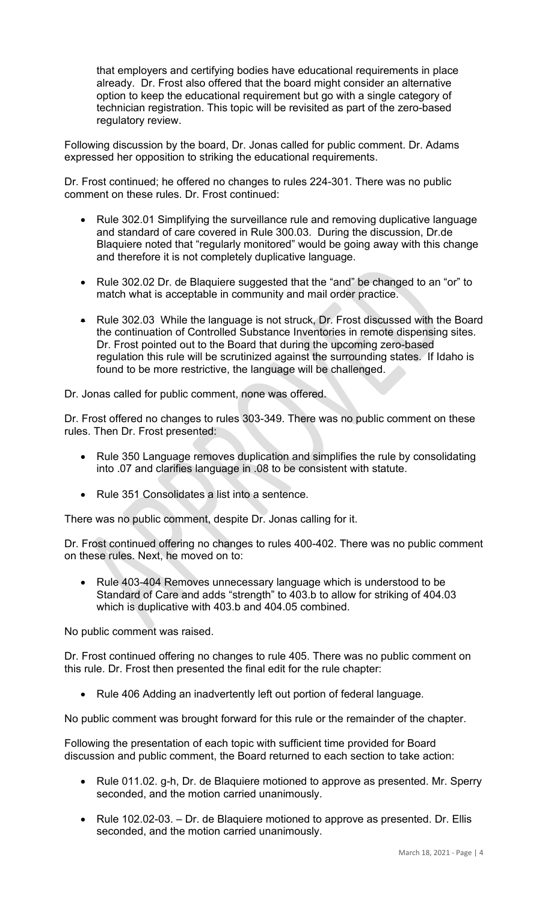that employers and certifying bodies have educational requirements in place already. Dr. Frost also offered that the board might consider an alternative option to keep the educational requirement but go with a single category of technician registration. This topic will be revisited as part of the zero-based regulatory review.

Following discussion by the board, Dr. Jonas called for public comment. Dr. Adams expressed her opposition to striking the educational requirements.

Dr. Frost continued; he offered no changes to rules 224-301. There was no public comment on these rules. Dr. Frost continued:

- Rule 302.01 Simplifying the surveillance rule and removing duplicative language and standard of care covered in Rule 300.03. During the discussion, Dr.de Blaquiere noted that "regularly monitored" would be going away with this change and therefore it is not completely duplicative language.
- Rule 302.02 Dr. de Blaquiere suggested that the "and" be changed to an "or" to match what is acceptable in community and mail order practice.
- Rule 302.03 While the language is not struck, Dr. Frost discussed with the Board the continuation of Controlled Substance Inventories in remote dispensing sites. Dr. Frost pointed out to the Board that during the upcoming zero-based regulation this rule will be scrutinized against the surrounding states. If Idaho is found to be more restrictive, the language will be challenged.

Dr. Jonas called for public comment, none was offered.

Dr. Frost offered no changes to rules 303-349. There was no public comment on these rules. Then Dr. Frost presented:

- Rule 350 Language removes duplication and simplifies the rule by consolidating into .07 and clarifies language in .08 to be consistent with statute.
- Rule 351 Consolidates a list into a sentence.

There was no public comment, despite Dr. Jonas calling for it.

Dr. Frost continued offering no changes to rules 400-402. There was no public comment on these rules. Next, he moved on to:

• Rule 403-404 Removes unnecessary language which is understood to be Standard of Care and adds "strength" to 403.b to allow for striking of 404.03 which is duplicative with 403.b and 404.05 combined.

No public comment was raised.

Dr. Frost continued offering no changes to rule 405. There was no public comment on this rule. Dr. Frost then presented the final edit for the rule chapter:

• Rule 406 Adding an inadvertently left out portion of federal language.

No public comment was brought forward for this rule or the remainder of the chapter.

Following the presentation of each topic with sufficient time provided for Board discussion and public comment, the Board returned to each section to take action:

- Rule 011.02. g-h, Dr. de Blaquiere motioned to approve as presented. Mr. Sperry seconded, and the motion carried unanimously.
- Rule 102.02-03. Dr. de Blaquiere motioned to approve as presented. Dr. Ellis seconded, and the motion carried unanimously.